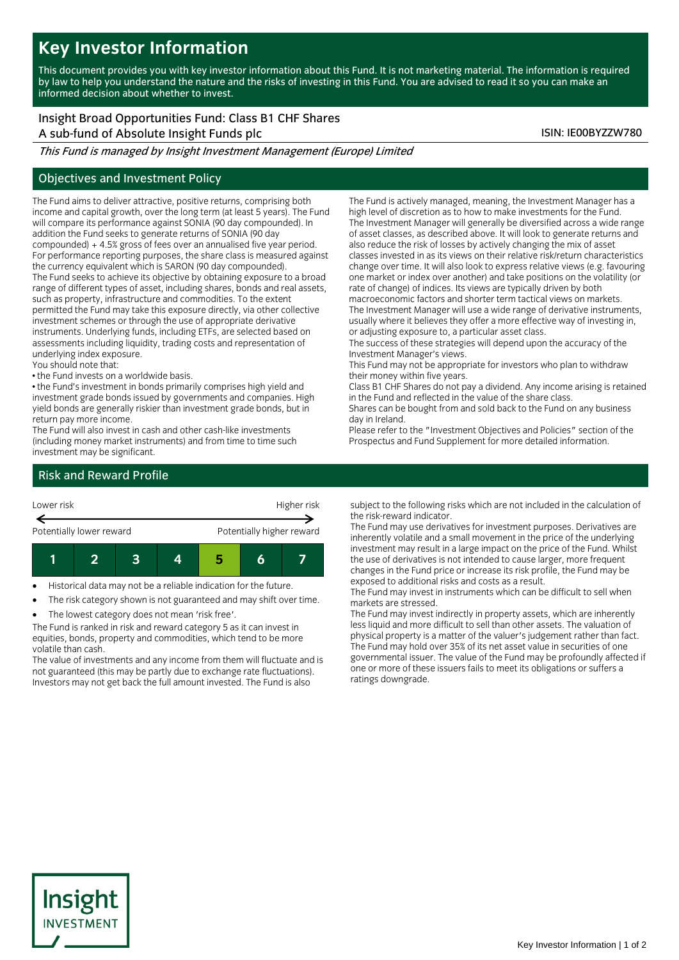# **Key Investor Information**

This document provides you with key investor information about this Fund. It is not marketing material. The information is required by law to help you understand the nature and the risks of investing in this Fund. You are advised to read it so you can make an informed decision about whether to invest.

Insight Broad Opportunities Fund: Class B1 CHF Shares A sub-fund of Absolute Insight Funds plc ISIN: IE00BYZZW780

This Fund is managed by Insight Investment Management (Europe) Limited

## Objectives and Investment Policy

The Fund aims to deliver attractive, positive returns, comprising both income and capital growth, over the long term (at least 5 years). The Fund will compare its performance against SONIA (90 day compounded). In addition the Fund seeks to generate returns of SONIA (90 day compounded) + 4.5% gross of fees over an annualised five year period. For performance reporting purposes, the share class is measured against the currency equivalent which is SARON (90 day compounded). The Fund seeks to achieve its objective by obtaining exposure to a broad range of different types of asset, including shares, bonds and real assets, such as property, infrastructure and commodities. To the extent permitted the Fund may take this exposure directly, via other collective investment schemes or through the use of appropriate derivative instruments. Underlying funds, including ETFs, are selected based on assessments including liquidity, trading costs and representation of underlying index exposure.

You should note that:

• the Fund invests on a worldwide basis.

• the Fund's investment in bonds primarily comprises high yield and investment grade bonds issued by governments and companies. High yield bonds are generally riskier than investment grade bonds, but in return pay more income.

The Fund will also invest in cash and other cash-like investments (including money market instruments) and from time to time such investment may be significant.

The Fund is actively managed, meaning, the Investment Manager has a high level of discretion as to how to make investments for the Fund. The Investment Manager will generally be diversified across a wide range of asset classes, as described above. It will look to generate returns and also reduce the risk of losses by actively changing the mix of asset classes invested in as its views on their relative risk/return characteristics change over time. It will also look to express relative views (e.g. favouring one market or index over another) and take positions on the volatility (or rate of change) of indices. Its views are typically driven by both macroeconomic factors and shorter term tactical views on markets. The Investment Manager will use a wide range of derivative instruments,

usually where it believes they offer a more effective way of investing in, or adjusting exposure to, a particular asset class. The success of these strategies will depend upon the accuracy of the

Investment Manager's views.

This Fund may not be appropriate for investors who plan to withdraw their money within five years.

Class B1 CHF Shares do not pay a dividend. Any income arising is retained in the Fund and reflected in the value of the share class.

Shares can be bought from and sold back to the Fund on any business day in Ireland.

Please refer to the "Investment Objectives and Policies" section of the Prospectus and Fund Supplement for more detailed information.

# Risk and Reward Profile



Historical data may not be a reliable indication for the future.

The risk category shown is not guaranteed and may shift over time.

The lowest category does not mean 'risk free'.

The Fund is ranked in risk and reward category 5 as it can invest in equities, bonds, property and commodities, which tend to be more volatile than cash.

The value of investments and any income from them will fluctuate and is not guaranteed (this may be partly due to exchange rate fluctuations). Investors may not get back the full amount invested. The Fund is also

subject to the following risks which are not included in the calculation of the risk-reward indicator.

The Fund may use derivatives for investment purposes. Derivatives are inherently volatile and a small movement in the price of the underlying investment may result in a large impact on the price of the Fund. Whilst the use of derivatives is not intended to cause larger, more frequent changes in the Fund price or increase its risk profile, the Fund may be exposed to additional risks and costs as a result.

The Fund may invest in instruments which can be difficult to sell when markets are stressed.

The Fund may invest indirectly in property assets, which are inherently less liquid and more difficult to sell than other assets. The valuation of physical property is a matter of the valuer's judgement rather than fact. The Fund may hold over 35% of its net asset value in securities of one governmental issuer. The value of the Fund may be profoundly affected if one or more of these issuers fails to meet its obligations or suffers a ratings downgrade.